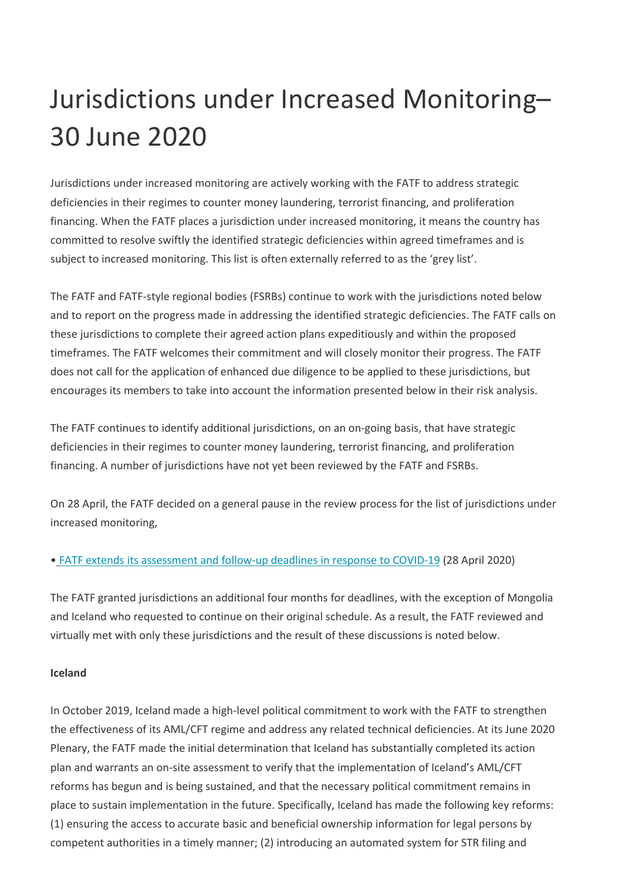## Jurisdictions under Increased Monitoring– 30 June 2020

Jurisdictions under increased monitoring are actively working with the FATF to address strategic deficiencies in their regimes to counter money laundering, terrorist financing, and proliferation financing. When the FATF places a jurisdiction under increased monitoring, it means the country has committed to resolve swiftly the identified strategic deficiencies within agreed timeframes and is subject to increased monitoring. This list is often externally referred to as the 'grey list'.

The FATF and FATF-style regional bodies (FSRBs) continue to work with the jurisdictions noted below and to report on the progress made in addressing the identified strategic deficiencies. The FATF calls on these jurisdictions to complete their agreed action plans expeditiously and within the proposed timeframes. The FATF welcomes their commitment and will closely monitor their progress. The FATF does not call for the application of enhanced due diligence to be applied to these jurisdictions, but encourages its members to take into account the information presented below in their risk analysis.

The FATF continues to identify additional jurisdictions, on an on-going basis, that have strategic deficiencies in their regimes to counter money laundering, terrorist financing, and proliferation financing. A number of jurisdictions have not yet been reviewed by the FATF and FSRBs.

On 28 April, the FATF decided on a general pause in the review process for the list of jurisdictions under increased monitoring,

## • FATF extends its assessment and follow-up deadlines in response to COVID-19 (28 April 2020)

The FATF granted jurisdictions an additional four months for deadlines, with the exception of Mongolia and Iceland who requested to continue on their original schedule. As a result, the FATF reviewed and virtually met with only these jurisdictions and the result of these discussions is noted below.

## **Iceland**

In October 2019, Iceland made a high-level political commitment to work with the FATF to strengthen the effectiveness of its AML/CFT regime and address any related technical deficiencies. At its June 2020 Plenary, the FATF made the initial determination that Iceland has substantially completed its action plan and warrants an on-site assessment to verify that the implementation of Iceland's AML/CFT reforms has begun and is being sustained, and that the necessary political commitment remains in place to sustain implementation in the future. Specifically, Iceland has made the following key reforms: (1) ensuring the access to accurate basic and beneficial ownership information for legal persons by competent authorities in a timely manner; (2) introducing an automated system for STR filing and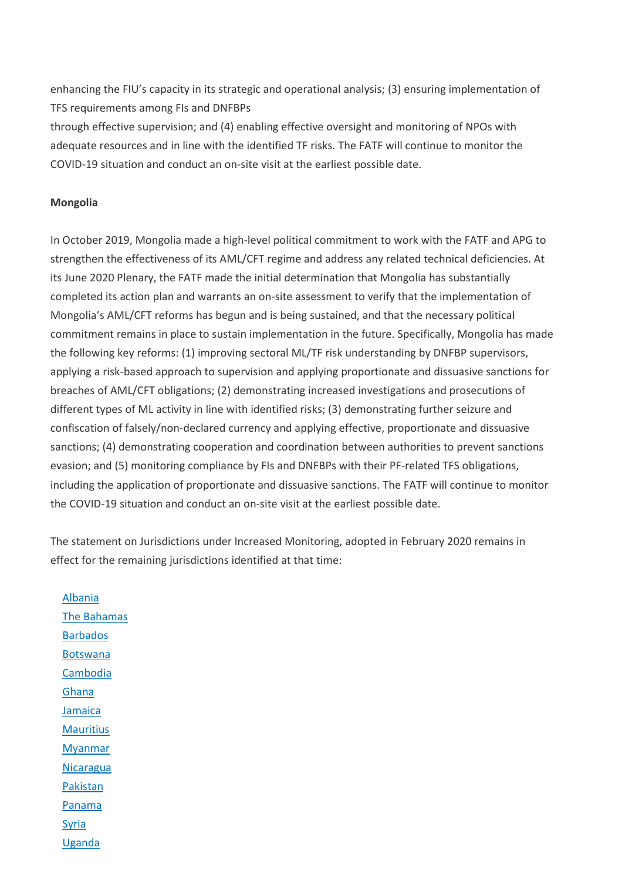enhancing the FIU's capacity in its strategic and operational analysis; (3) ensuring implementation of TFS requirements among FIs and DNFBPs

through effective supervision; and (4) enabling effective oversight and monitoring of NPOs with adequate resources and in line with the identified TF risks. The FATF will continue to monitor the COVID-19 situation and conduct an on-site visit at the earliest possible date.

## **Mongolia**

In October 2019, Mongolia made a high-level political commitment to work with the FATF and APG to strengthen the effectiveness of its AML/CFT regime and address any related technical deficiencies. At its June 2020 Plenary, the FATF made the initial determination that Mongolia has substantially completed its action plan and warrants an on-site assessment to verify that the implementation of Mongolia's AML/CFT reforms has begun and is being sustained, and that the necessary political commitment remains in place to sustain implementation in the future. Specifically, Mongolia has made the following key reforms: (1) improving sectoral ML/TF risk understanding by DNFBP supervisors, applying a risk-based approach to supervision and applying proportionate and dissuasive sanctions for breaches of AML/CFT obligations; (2) demonstrating increased investigations and prosecutions of different types of ML activity in line with identified risks; (3) demonstrating further seizure and confiscation of falsely/non-declared currency and applying effective, proportionate and dissuasive sanctions; (4) demonstrating cooperation and coordination between authorities to prevent sanctions evasion; and (5) monitoring compliance by FIs and DNFBPs with their PF-related TFS obligations, including the application of proportionate and dissuasive sanctions. The FATF will continue to monitor the COVID-19 situation and conduct an on-site visit at the earliest possible date.

The statement on Jurisdictions under Increased Monitoring, adopted in February 2020 remains in effect for the remaining jurisdictions identified at that time:

Albania The Bahamas Barbados Botswana Cambodia Ghana Jamaica **Mauritius Myanmar Nicaragua** Pakistan Panama Syria Uganda